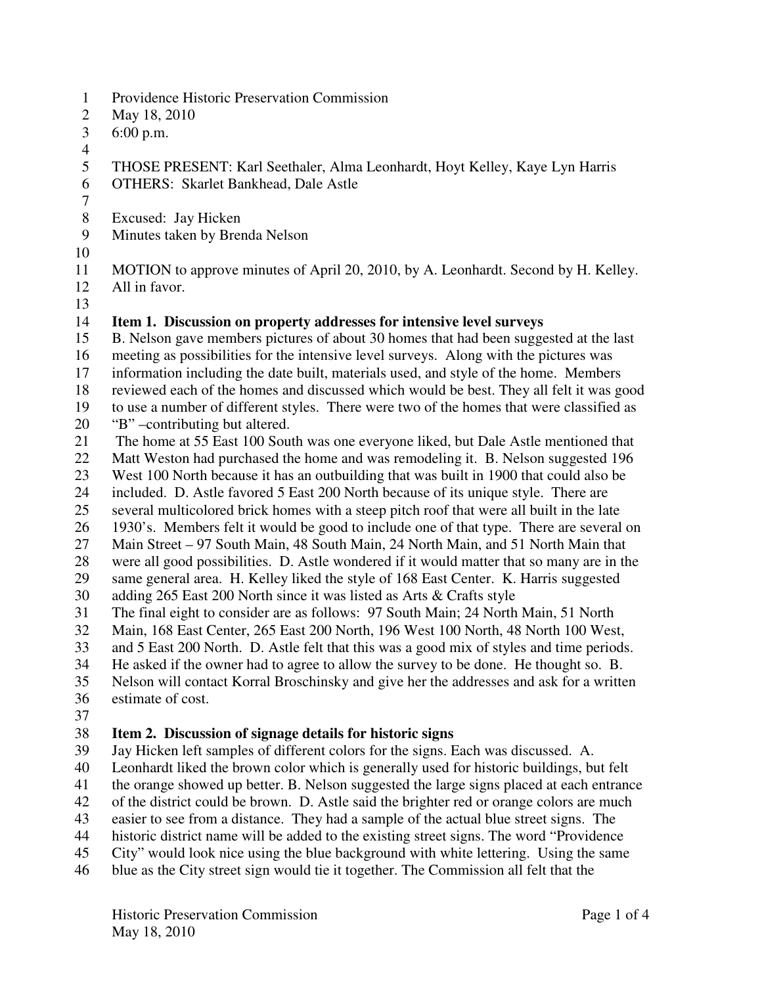- 1 Providence Historic Preservation Commission
- 2 May 18, 2010
- 3 6:00 p.m.
- 4
- 5 THOSE PRESENT: Karl Seethaler, Alma Leonhardt, Hoyt Kelley, Kaye Lyn Harris
- 6 OTHERS: Skarlet Bankhead, Dale Astle
- 8 Excused: Jay Hicken
- 9 Minutes taken by Brenda Nelson
- 10

7

- 11 MOTION to approve minutes of April 20, 2010, by A. Leonhardt. Second by H. Kelley.
- 12 All in favor.
- 13

# 14 **Item 1. Discussion on property addresses for intensive level surveys**

- 15 B. Nelson gave members pictures of about 30 homes that had been suggested at the last
- 16 meeting as possibilities for the intensive level surveys. Along with the pictures was
- 17 information including the date built, materials used, and style of the home. Members
- 18 reviewed each of the homes and discussed which would be best. They all felt it was good
- 19 to use a number of different styles. There were two of the homes that were classified as
- 20 "B" –contributing but altered.
- 21 The home at 55 East 100 South was one everyone liked, but Dale Astle mentioned that
- 22 Matt Weston had purchased the home and was remodeling it. B. Nelson suggested 196
- 23 West 100 North because it has an outbuilding that was built in 1900 that could also be
- 24 included. D. Astle favored 5 East 200 North because of its unique style. There are
- 25 several multicolored brick homes with a steep pitch roof that were all built in the late
- 26 1930's. Members felt it would be good to include one of that type. There are several on
- 27 Main Street 97 South Main, 48 South Main, 24 North Main, and 51 North Main that
- 28 were all good possibilities. D. Astle wondered if it would matter that so many are in the
- 29 same general area. H. Kelley liked the style of 168 East Center. K. Harris suggested
- 30 adding 265 East 200 North since it was listed as Arts & Crafts style
- 31 The final eight to consider are as follows: 97 South Main; 24 North Main, 51 North
- 32 Main, 168 East Center, 265 East 200 North, 196 West 100 North, 48 North 100 West,
- 33 and 5 East 200 North. D. Astle felt that this was a good mix of styles and time periods.
- 34 He asked if the owner had to agree to allow the survey to be done. He thought so. B.
- 35 Nelson will contact Korral Broschinsky and give her the addresses and ask for a written
- 36 estimate of cost.
- 37

# 38 **Item 2. Discussion of signage details for historic signs**

- 39 Jay Hicken left samples of different colors for the signs. Each was discussed. A.
- 40 Leonhardt liked the brown color which is generally used for historic buildings, but felt
- 41 the orange showed up better. B. Nelson suggested the large signs placed at each entrance
- 42 of the district could be brown. D. Astle said the brighter red or orange colors are much
- 43 easier to see from a distance. They had a sample of the actual blue street signs. The
- 44 historic district name will be added to the existing street signs. The word "Providence
- 45 City" would look nice using the blue background with white lettering. Using the same
- 46 blue as the City street sign would tie it together. The Commission all felt that the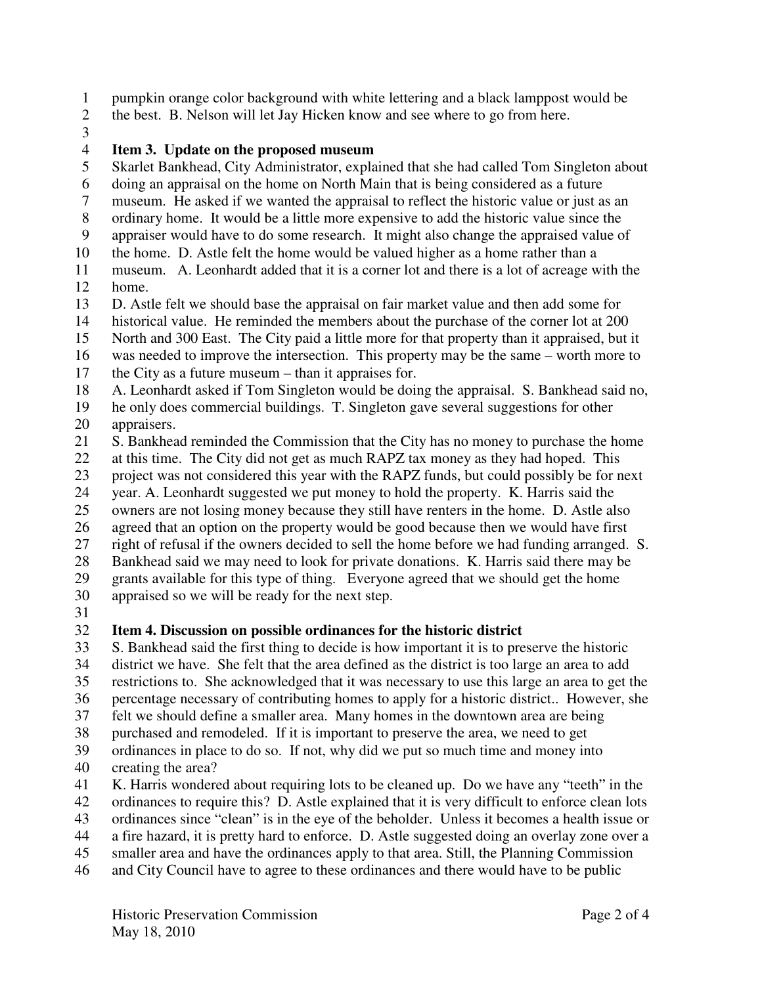1 pumpkin orange color background with white lettering and a black lamppost would be

- 2 the best. B. Nelson will let Jay Hicken know and see where to go from here.
- 3

# 4 **Item 3. Update on the proposed museum**

- 5 Skarlet Bankhead, City Administrator, explained that she had called Tom Singleton about
- 6 doing an appraisal on the home on North Main that is being considered as a future
- 7 museum. He asked if we wanted the appraisal to reflect the historic value or just as an
- 8 ordinary home. It would be a little more expensive to add the historic value since the
- 9 appraiser would have to do some research. It might also change the appraised value of
- 10 the home. D. Astle felt the home would be valued higher as a home rather than a
- 11 museum. A. Leonhardt added that it is a corner lot and there is a lot of acreage with the 12 home.
- 13 D. Astle felt we should base the appraisal on fair market value and then add some for
- 14 historical value. He reminded the members about the purchase of the corner lot at 200
- 15 North and 300 East. The City paid a little more for that property than it appraised, but it
- 16 was needed to improve the intersection. This property may be the same worth more to 17 the City as a future museum – than it appraises for.
- 18 A. Leonhardt asked if Tom Singleton would be doing the appraisal. S. Bankhead said no,
- 19 he only does commercial buildings. T. Singleton gave several suggestions for other
- 20 appraisers.
- 21 S. Bankhead reminded the Commission that the City has no money to purchase the home
- 22 at this time. The City did not get as much RAPZ tax money as they had hoped. This
- 23 project was not considered this year with the RAPZ funds, but could possibly be for next
- 24 year. A. Leonhardt suggested we put money to hold the property. K. Harris said the
- 25 owners are not losing money because they still have renters in the home. D. Astle also
- 26 agreed that an option on the property would be good because then we would have first
- 27 right of refusal if the owners decided to sell the home before we had funding arranged. S.
- 28 Bankhead said we may need to look for private donations. K. Harris said there may be

29 grants available for this type of thing. Everyone agreed that we should get the home

- 30 appraised so we will be ready for the next step.
- $\frac{31}{32}$

# 32 **Item 4. Discussion on possible ordinances for the historic district**

- 33 S. Bankhead said the first thing to decide is how important it is to preserve the historic
- 34 district we have. She felt that the area defined as the district is too large an area to add 35 restrictions to. She acknowledged that it was necessary to use this large an area to get the
- 36 percentage necessary of contributing homes to apply for a historic district.. However, she
- 37 felt we should define a smaller area. Many homes in the downtown area are being
- 38 purchased and remodeled. If it is important to preserve the area, we need to get
- 39 ordinances in place to do so. If not, why did we put so much time and money into
- 40 creating the area?
- 41 K. Harris wondered about requiring lots to be cleaned up. Do we have any "teeth" in the
- 42 ordinances to require this? D. Astle explained that it is very difficult to enforce clean lots
- 43 ordinances since "clean" is in the eye of the beholder. Unless it becomes a health issue or
- 44 a fire hazard, it is pretty hard to enforce. D. Astle suggested doing an overlay zone over a
- 45 smaller area and have the ordinances apply to that area. Still, the Planning Commission
- 46 and City Council have to agree to these ordinances and there would have to be public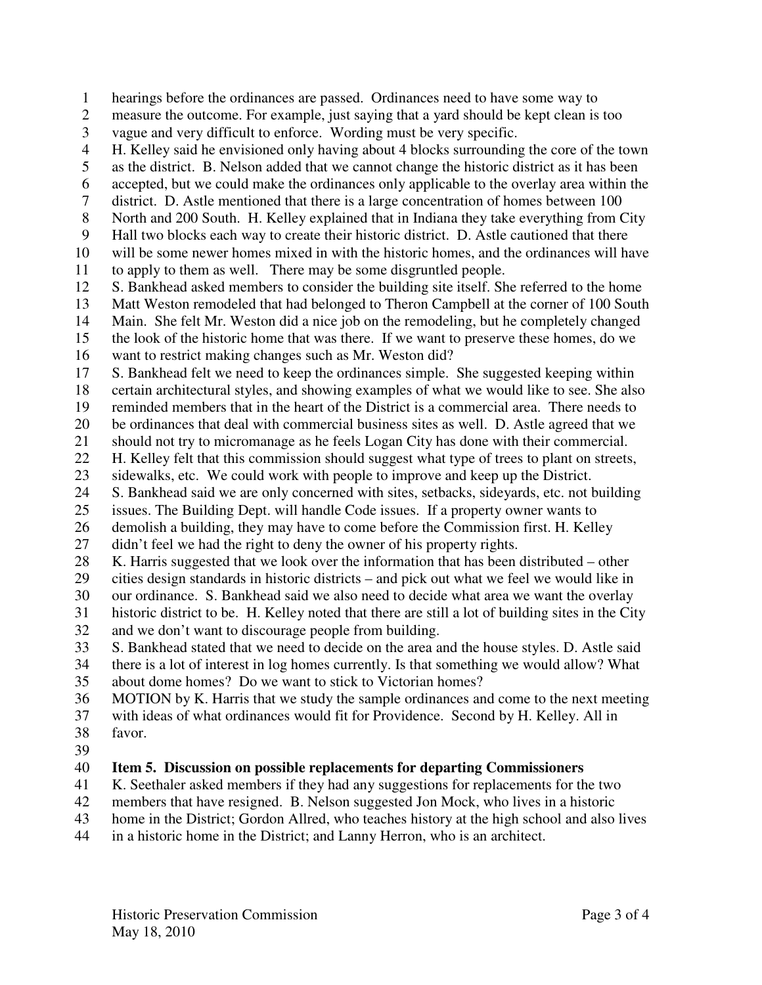- 1 hearings before the ordinances are passed. Ordinances need to have some way to
- 2 measure the outcome. For example, just saying that a yard should be kept clean is too
- 3 vague and very difficult to enforce. Wording must be very specific.
- 4 H. Kelley said he envisioned only having about 4 blocks surrounding the core of the town
- 5 as the district. B. Nelson added that we cannot change the historic district as it has been
- 6 accepted, but we could make the ordinances only applicable to the overlay area within the
- 7 district. D. Astle mentioned that there is a large concentration of homes between 100
- 8 North and 200 South. H. Kelley explained that in Indiana they take everything from City
- 9 Hall two blocks each way to create their historic district. D. Astle cautioned that there
- 10 will be some newer homes mixed in with the historic homes, and the ordinances will have 11 to apply to them as well. There may be some disgruntled people.
- 12 S. Bankhead asked members to consider the building site itself. She referred to the home
- 13 Matt Weston remodeled that had belonged to Theron Campbell at the corner of 100 South
- 14 Main. She felt Mr. Weston did a nice job on the remodeling, but he completely changed
- 15 the look of the historic home that was there. If we want to preserve these homes, do we 16 want to restrict making changes such as Mr. Weston did?
- 
- 17 S. Bankhead felt we need to keep the ordinances simple. She suggested keeping within
- 18 certain architectural styles, and showing examples of what we would like to see. She also
- 19 reminded members that in the heart of the District is a commercial area. There needs to
- 20 be ordinances that deal with commercial business sites as well. D. Astle agreed that we
- 21 should not try to micromanage as he feels Logan City has done with their commercial.
- 22 H. Kelley felt that this commission should suggest what type of trees to plant on streets,
- 23 sidewalks, etc. We could work with people to improve and keep up the District.
- 24 S. Bankhead said we are only concerned with sites, setbacks, sideyards, etc. not building
- 25 issues. The Building Dept. will handle Code issues. If a property owner wants to 26 demolish a building, they may have to come before the Commission first. H. Kelley
- 27 didn't feel we had the right to deny the owner of his property rights.
- 28 K. Harris suggested that we look over the information that has been distributed other
- 29 cities design standards in historic districts and pick out what we feel we would like in
- 30 our ordinance. S. Bankhead said we also need to decide what area we want the overlay
- 31 historic district to be. H. Kelley noted that there are still a lot of building sites in the City 32 and we don't want to discourage people from building.
- 33 S. Bankhead stated that we need to decide on the area and the house styles. D. Astle said
- 34 there is a lot of interest in log homes currently. Is that something we would allow? What 35 about dome homes? Do we want to stick to Victorian homes?
- 36 MOTION by K. Harris that we study the sample ordinances and come to the next meeting
- 37 with ideas of what ordinances would fit for Providence. Second by H. Kelley. All in 38 favor.
- 39

# 40 **Item 5. Discussion on possible replacements for departing Commissioners**

- 41 K. Seethaler asked members if they had any suggestions for replacements for the two
- 42 members that have resigned. B. Nelson suggested Jon Mock, who lives in a historic
- 43 home in the District; Gordon Allred, who teaches history at the high school and also lives
- 44 in a historic home in the District; and Lanny Herron, who is an architect.